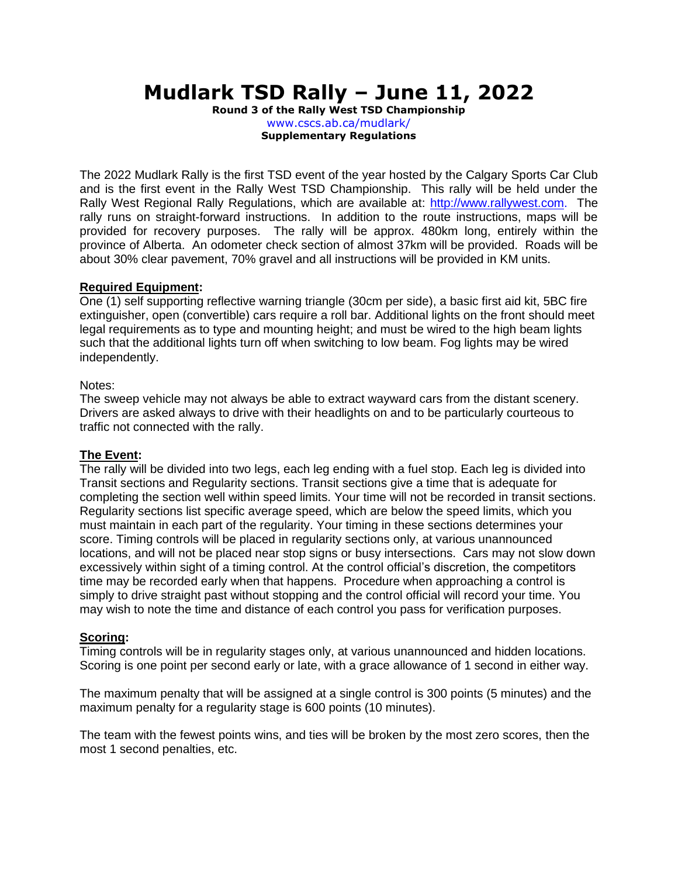# **Mudlark TSD Rally – June 11, 2022**

**Round 3 of the Rally West TSD Championship** www.cscs.ab.ca/mudlark/ **Supplementary Regulations**

The 2022 Mudlark Rally is the first TSD event of the year hosted by the Calgary Sports Car Club and is the first event in the Rally West TSD Championship. This rally will be held under the Rally West Regional Rally Regulations, which are available at: http://www.rallywest.com. The rally runs on straight-forward instructions. In addition to the route instructions, maps will be provided for recovery purposes. The rally will be approx. 480km long, entirely within the province of Alberta. An odometer check section of almost 37km will be provided. Roads will be about 30% clear pavement, 70% gravel and all instructions will be provided in KM units.

#### **Required Equipment:**

One (1) self supporting reflective warning triangle (30cm per side), a basic first aid kit, 5BC fire extinguisher, open (convertible) cars require a roll bar. Additional lights on the front should meet legal requirements as to type and mounting height; and must be wired to the high beam lights such that the additional lights turn off when switching to low beam. Fog lights may be wired independently.

#### Notes:

The sweep vehicle may not always be able to extract wayward cars from the distant scenery. Drivers are asked always to drive with their headlights on and to be particularly courteous to traffic not connected with the rally.

#### **The Event:**

The rally will be divided into two legs, each leg ending with a fuel stop. Each leg is divided into Transit sections and Regularity sections. Transit sections give a time that is adequate for completing the section well within speed limits. Your time will not be recorded in transit sections. Regularity sections list specific average speed, which are below the speed limits, which you must maintain in each part of the regularity. Your timing in these sections determines your score. Timing controls will be placed in regularity sections only, at various unannounced locations, and will not be placed near stop signs or busy intersections. Cars may not slow down excessively within sight of a timing control. At the control official's discretion, the competitors time may be recorded early when that happens. Procedure when approaching a control is simply to drive straight past without stopping and the control official will record your time. You may wish to note the time and distance of each control you pass for verification purposes.

# **Scoring:**

Timing controls will be in regularity stages only, at various unannounced and hidden locations. Scoring is one point per second early or late, with a grace allowance of 1 second in either way.

The maximum penalty that will be assigned at a single control is 300 points (5 minutes) and the maximum penalty for a regularity stage is 600 points (10 minutes).

The team with the fewest points wins, and ties will be broken by the most zero scores, then the most 1 second penalties, etc.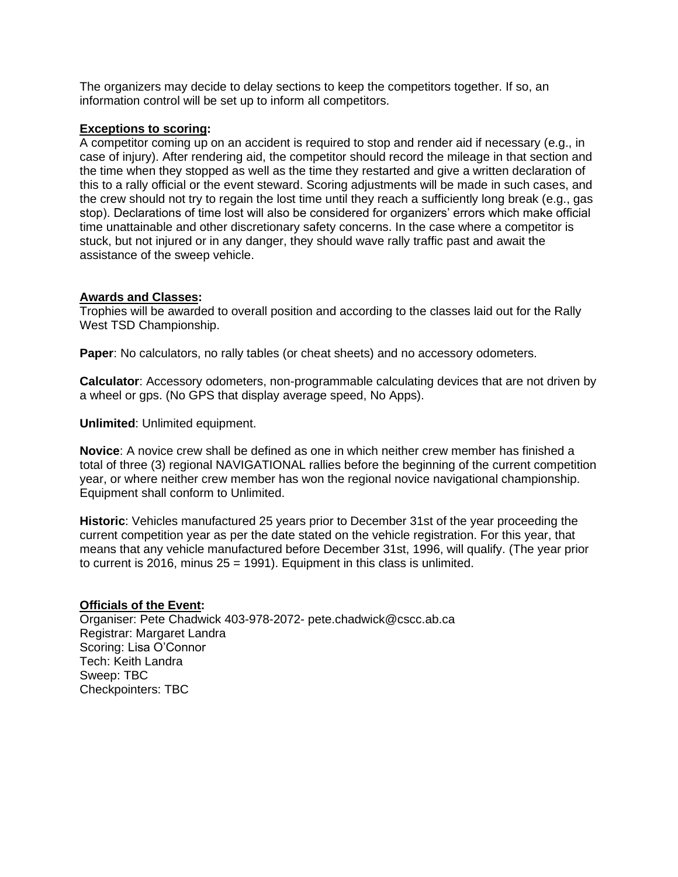The organizers may decide to delay sections to keep the competitors together. If so, an information control will be set up to inform all competitors.

#### **Exceptions to scoring:**

A competitor coming up on an accident is required to stop and render aid if necessary (e.g., in case of injury). After rendering aid, the competitor should record the mileage in that section and the time when they stopped as well as the time they restarted and give a written declaration of this to a rally official or the event steward. Scoring adjustments will be made in such cases, and the crew should not try to regain the lost time until they reach a sufficiently long break (e.g., gas stop). Declarations of time lost will also be considered for organizers' errors which make official time unattainable and other discretionary safety concerns. In the case where a competitor is stuck, but not injured or in any danger, they should wave rally traffic past and await the assistance of the sweep vehicle.

#### **Awards and Classes:**

Trophies will be awarded to overall position and according to the classes laid out for the Rally West TSD Championship.

**Paper**: No calculators, no rally tables (or cheat sheets) and no accessory odometers.

**Calculator**: Accessory odometers, non-programmable calculating devices that are not driven by a wheel or gps. (No GPS that display average speed, No Apps).

**Unlimited**: Unlimited equipment.

**Novice**: A novice crew shall be defined as one in which neither crew member has finished a total of three (3) regional NAVIGATIONAL rallies before the beginning of the current competition year, or where neither crew member has won the regional novice navigational championship. Equipment shall conform to Unlimited.

**Historic**: Vehicles manufactured 25 years prior to December 31st of the year proceeding the current competition year as per the date stated on the vehicle registration. For this year, that means that any vehicle manufactured before December 31st, 1996, will qualify. (The year prior to current is 2016, minus  $25 = 1991$ ). Equipment in this class is unlimited.

### **Officials of the Event:**

Organiser: Pete Chadwick 403-978-2072- pete.chadwick@cscc.ab.ca Registrar: Margaret Landra Scoring: Lisa O'Connor Tech: Keith Landra Sweep: TBC Checkpointers: TBC